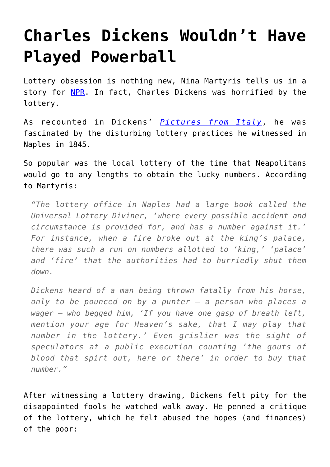## **[Charles Dickens Wouldn't Have](https://intellectualtakeout.org/2016/01/charles-dickens-wouldnt-have-played-powerball/) [Played Powerball](https://intellectualtakeout.org/2016/01/charles-dickens-wouldnt-have-played-powerball/)**

Lottery obsession is nothing new, Nina Martyris tells us in a story for [NPR](http://www.npr.org/2016/01/13/462923346/great-expectations-dickens-and-the-powerball?utm_source=facebook.com&utm_medium=social&utm_campaign=npr&utm_term=nprnews&utm_content=20160113). In fact, Charles Dickens was horrified by the lottery.

As recounted in Dickens' *[Pictures from Italy](http://amzn.to/1OkepzP)*, he was fascinated by the disturbing lottery practices he witnessed in Naples in 1845.

So popular was the local lottery of the time that Neapolitans would go to any lengths to obtain the lucky numbers. According to Martyris:

*"The lottery office in Naples had a large book called the Universal Lottery Diviner, 'where every possible accident and circumstance is provided for, and has a number against it.' For instance, when a fire broke out at the king's palace, there was such a run on numbers allotted to 'king,' 'palace' and 'fire' that the authorities had to hurriedly shut them down.*

*Dickens heard of a man being thrown fatally from his horse, only to be pounced on by a punter — a person who places a wager — who begged him, 'If you have one gasp of breath left, mention your age for Heaven's sake, that I may play that number in the lottery.' Even grislier was the sight of speculators at a public execution counting 'the gouts of blood that spirt out, here or there' in order to buy that number."*

After witnessing a lottery drawing, Dickens felt pity for the disappointed fools he watched walk away. He penned a critique of the lottery, which he felt abused the hopes (and finances) of the poor: